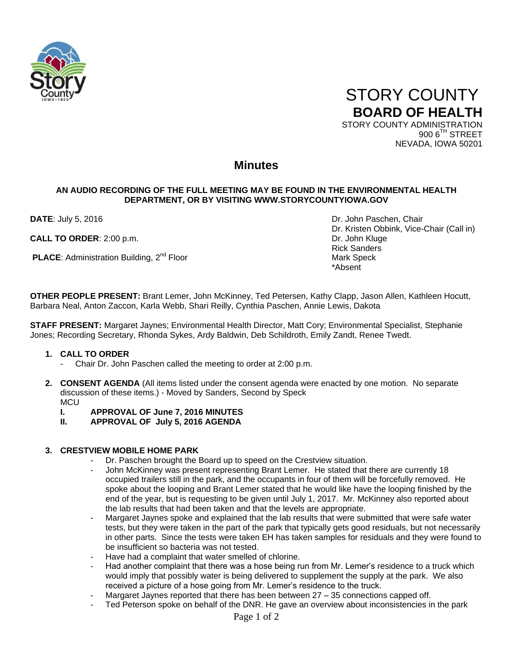

 STORY COUNTY **BOARD OF HEALTH** STORY COUNTY ADMINISTRATION

900 6<sup>TH</sup> STREET NEVADA, IOWA 50201

## **Minutes**

### **AN AUDIO RECORDING OF THE FULL MEETING MAY BE FOUND IN THE ENVIRONMENTAL HEALTH DEPARTMENT, OR BY VISITING WWW.STORYCOUNTYIOWA.GOV**

**CALL TO ORDER**: 2:00 p.m. **Dr. John Kluge** 

**PLACE:** Administration Building, 2<sup>nd</sup> Floor Mark Speck

**DATE:** July 5, 2016 **DATE:** July 5, 2016 Dr. Kristen Obbink, Vice-Chair (Call in) Rick Sanders \*Absent

**OTHER PEOPLE PRESENT:** Brant Lemer, John McKinney, Ted Petersen, Kathy Clapp, Jason Allen, Kathleen Hocutt, Barbara Neal, Anton Zaccon, Karla Webb, Shari Reilly, Cynthia Paschen, Annie Lewis, Dakota

**STAFF PRESENT:** Margaret Jaynes; Environmental Health Director, Matt Cory; Environmental Specialist, Stephanie Jones; Recording Secretary, Rhonda Sykes, Ardy Baldwin, Deb Schildroth, Emily Zandt, Renee Twedt.

### **1. CALL TO ORDER**

- Chair Dr. John Paschen called the meeting to order at 2:00 p.m.
- **2. CONSENT AGENDA** (All items listed under the consent agenda were enacted by one motion. No separate discussion of these items.) - Moved by Sanders, Second by Speck **MCU** 
	- **I. APPROVAL OF June 7, 2016 MINUTES**
	- **II. APPROVAL OF July 5, 2016 AGENDA**

### **3. CRESTVIEW MOBILE HOME PARK**

- Dr. Paschen brought the Board up to speed on the Crestview situation.
- John McKinney was present representing Brant Lemer. He stated that there are currently 18 occupied trailers still in the park, and the occupants in four of them will be forcefully removed. He spoke about the looping and Brant Lemer stated that he would like have the looping finished by the end of the year, but is requesting to be given until July 1, 2017. Mr. McKinney also reported about the lab results that had been taken and that the levels are appropriate.
- Margaret Jaynes spoke and explained that the lab results that were submitted that were safe water tests, but they were taken in the part of the park that typically gets good residuals, but not necessarily in other parts. Since the tests were taken EH has taken samples for residuals and they were found to be insufficient so bacteria was not tested.
- Have had a complaint that water smelled of chlorine.
- Had another complaint that there was a hose being run from Mr. Lemer's residence to a truck which would imply that possibly water is being delivered to supplement the supply at the park. We also received a picture of a hose going from Mr. Lemer's residence to the truck.
- Margaret Jaynes reported that there has been between  $27 35$  connections capped off.
- Ted Peterson spoke on behalf of the DNR. He gave an overview about inconsistencies in the park